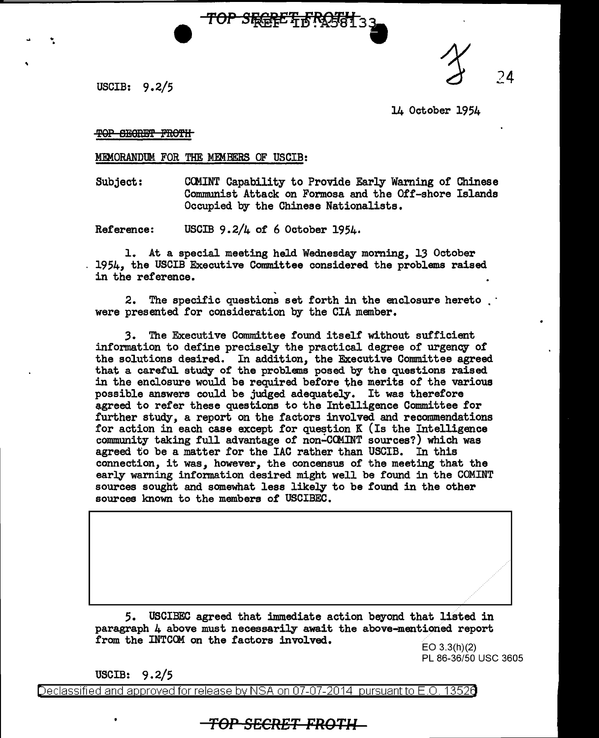.. .

USCIB:  $9.2/5$  24

14 October 1954

TOP SEGRET FROTH

MEMORANDUM FOR THE MEMBERS OF USCIB:

Subject: CCMINT Capability to Provide Early Waming of Chinese Communist Attack on Formosa and the 0££-shore Islands Occupied by the Chinese Nationalists.

TOP SFGRET FROSSI

Reference: USCIB 9.2/4 of 6 October 1954·

1. At a special meeting held Wednesday moming, 13 October 1954, the USCIB Executive Committee considered the problems raised in the reference.

2. The specific questions set forth in the enclosure hereto were presented for consideration by the CIA member.

*3.* The Executive Committee found itself' without sufficient information to define precisely the practical degree of urgency of the solutions desired. In addition, the Executive Committee agreed that a careful. study of' the problems posed by the questions raised in the enclosure would be required before the merits of the various possible answers could be judged adequately. It was therefore agreed to refer these questions to the Intelligence Committee for further study, a report on the factors involved and recommendations for action in each case except for question K (Is the Intelligence community taking full advantage of non-COMINT sources?) which was agreed to be a matter for the IAC rather than USCIB. In this connection, it was, however, the concensus of' the meeting that the early warning information desired might well be found in the COMINT sources sought and somewhat less likely to be found in the other sources known to the members of USCIBEC.

5. USCIBEC agreed that immediate action beyond that listed in paragraph 4 above must necessarily await the above-mentioned report from the INTCCM on the factors involved.

EO  $3.3(h)(2)$ PL 86-36/50 USC 3605

 $\sim$   $\sim$ 

USCIB: 9.2/5

Declassified and approved for release by NSA on 07-07-2014 pursuantto E.O. 1352a

## **TOP SECRET FROTH**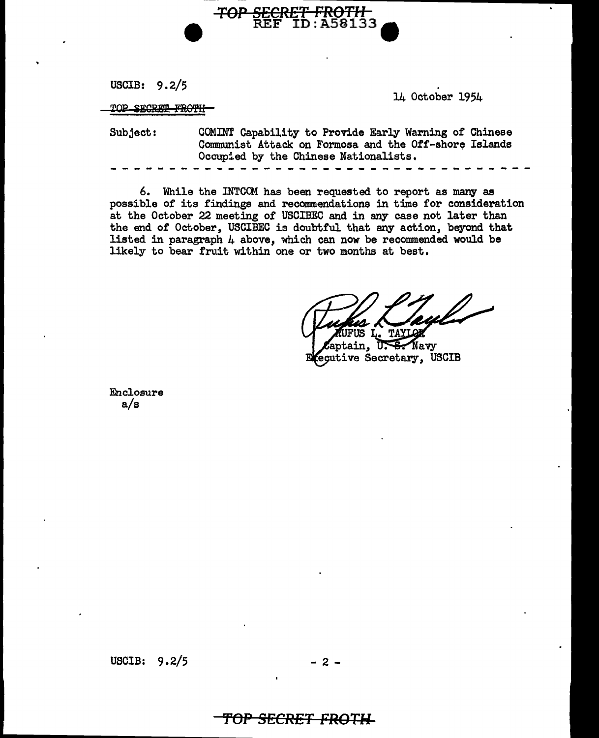USCIB: 9.2/5

TOP SECRET FROTH

. 14 October 1954

Subject: COMINT Capability to Provide Early Warning of Chinese Communist Attack on Formosa and the Off-shore Islands Occupied by the Chinese Nationalists.

*TOP* **SECRET** *FROTll* 

REF ID : A58133 •

6. While the INTCOM has been requested to report as many as possible of its findings and recommendations in time for consideration at the October 22 meeting of USCIBEC and in any case not later than the end of October, USCIBEC is doubtful that any action, beyond that listed in paragraph  $\mu$  above, which can now be recommended would be likely to bear fruit within one or two months at best.

L. TAYLOR

aptain. **S.** Navy ΤГ ecutive Secretary, USCIB

Enclosure a/s

USCIB:  $9.2/5$  - 2 -

## *TOP* **SECRET** *FROTH*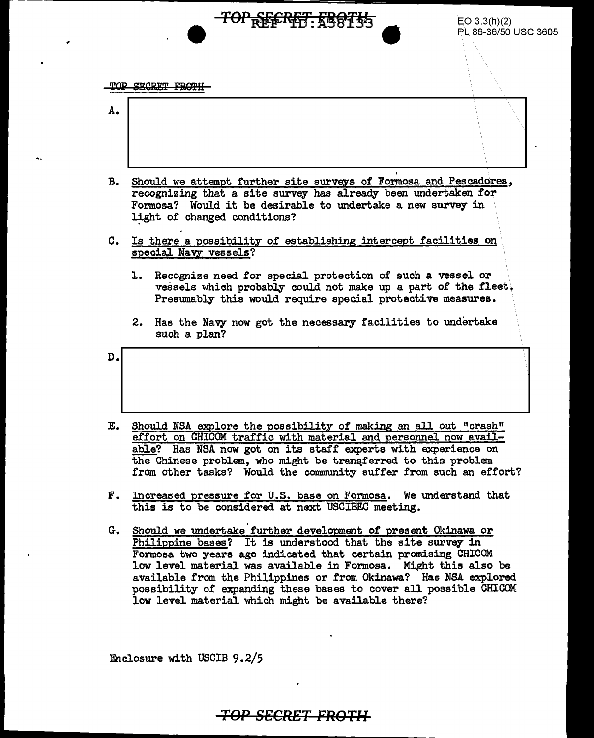**TOP SECRET FROTH** 

A.

B. Should we attempt further site surveys of Formosa and Pescadores, recognizing that a site survey has already been undertaken for Formosa? Would it be desirable to undertake a new survey in light of changed conditions?

<del>TOP REFRET: KB0T35</del>

- C. Is there a possibility of establishing intercept facilities on special Navy vessels?
	- 1. Recognize need for special protection of such a vessel or vessels which probably could not make up a part of the fleet. Presumably this would require special protective measures.

 $EO$  3.3(h)(2)

PL 86-36/50 USC 3605

2. Has the Navy now got the necessary facilities to undertake such a plan?

 $\mathbf{D}_{\bullet}$ 

- E. Should NSA explore the possibility of making an all out "crash" effort on CHICOM traffic with material and personnel now available? Has NSA now got on its staff experts with experience on the Chinese problem, who might be transferred to this problem from other tasks? Would the community suffer from such an effort?
- F. Increased pressure for U.S. base on Formosa. We understand that this is to be considered at next USCIBEC meeting.
- G. Should we undertake further development of present Okinawa or Philippine bases? It is understood that the site survey in Formosa two years ago indicated that certain promising CHICOM low level material was available in Formosa. Might this also be available from the Philippines or from Okinawa? Has NSA explored. possibility of expanding these bases to cover all possible CHICOM low level material which might be available there?

:Enclosure with USCIB 9.2/5

**TOP sgCRET FROTH**